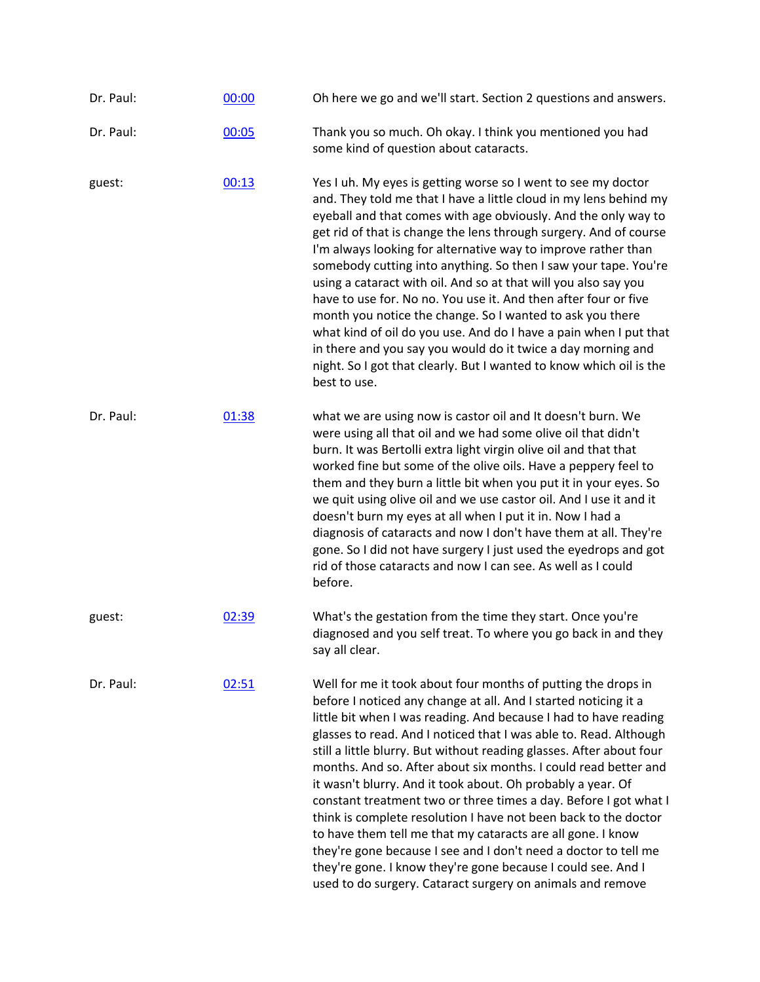| Dr. Paul: | 00:00 | Oh here we go and we'll start. Section 2 questions and answers.                                                                                                                                                                                                                                                                                                                                                                                                                                                                                                                                                                                                                                                                                                                                                                                                                            |
|-----------|-------|--------------------------------------------------------------------------------------------------------------------------------------------------------------------------------------------------------------------------------------------------------------------------------------------------------------------------------------------------------------------------------------------------------------------------------------------------------------------------------------------------------------------------------------------------------------------------------------------------------------------------------------------------------------------------------------------------------------------------------------------------------------------------------------------------------------------------------------------------------------------------------------------|
| Dr. Paul: | 00:05 | Thank you so much. Oh okay. I think you mentioned you had<br>some kind of question about cataracts.                                                                                                                                                                                                                                                                                                                                                                                                                                                                                                                                                                                                                                                                                                                                                                                        |
| guest:    | 00:13 | Yes I uh. My eyes is getting worse so I went to see my doctor<br>and. They told me that I have a little cloud in my lens behind my<br>eyeball and that comes with age obviously. And the only way to<br>get rid of that is change the lens through surgery. And of course<br>I'm always looking for alternative way to improve rather than<br>somebody cutting into anything. So then I saw your tape. You're<br>using a cataract with oil. And so at that will you also say you<br>have to use for. No no. You use it. And then after four or five<br>month you notice the change. So I wanted to ask you there<br>what kind of oil do you use. And do I have a pain when I put that<br>in there and you say you would do it twice a day morning and<br>night. So I got that clearly. But I wanted to know which oil is the<br>best to use.                                               |
| Dr. Paul: | 01:38 | what we are using now is castor oil and It doesn't burn. We<br>were using all that oil and we had some olive oil that didn't<br>burn. It was Bertolli extra light virgin olive oil and that that<br>worked fine but some of the olive oils. Have a peppery feel to<br>them and they burn a little bit when you put it in your eyes. So<br>we quit using olive oil and we use castor oil. And I use it and it<br>doesn't burn my eyes at all when I put it in. Now I had a<br>diagnosis of cataracts and now I don't have them at all. They're<br>gone. So I did not have surgery I just used the eyedrops and got<br>rid of those cataracts and now I can see. As well as I could<br>before.                                                                                                                                                                                               |
| guest:    | 02:39 | What's the gestation from the time they start. Once you're<br>diagnosed and you self treat. To where you go back in and they<br>say all clear.                                                                                                                                                                                                                                                                                                                                                                                                                                                                                                                                                                                                                                                                                                                                             |
| Dr. Paul: | 02:51 | Well for me it took about four months of putting the drops in<br>before I noticed any change at all. And I started noticing it a<br>little bit when I was reading. And because I had to have reading<br>glasses to read. And I noticed that I was able to. Read. Although<br>still a little blurry. But without reading glasses. After about four<br>months. And so. After about six months. I could read better and<br>it wasn't blurry. And it took about. Oh probably a year. Of<br>constant treatment two or three times a day. Before I got what I<br>think is complete resolution I have not been back to the doctor<br>to have them tell me that my cataracts are all gone. I know<br>they're gone because I see and I don't need a doctor to tell me<br>they're gone. I know they're gone because I could see. And I<br>used to do surgery. Cataract surgery on animals and remove |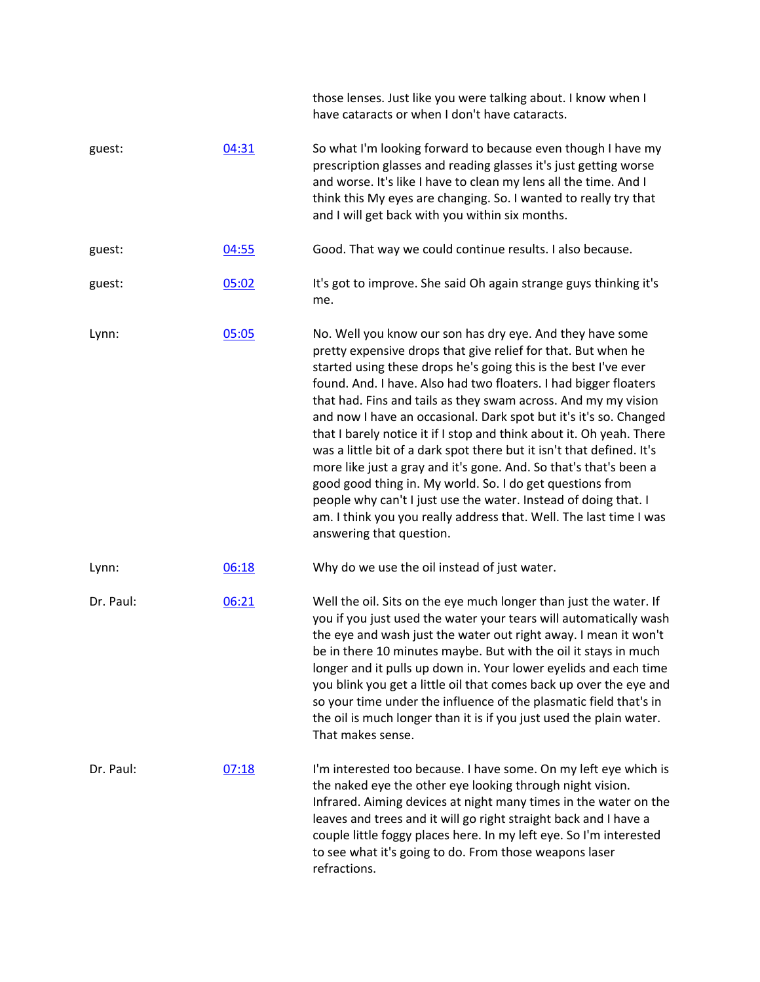|           |       | those lenses. Just like you were talking about. I know when I<br>have cataracts or when I don't have cataracts.                                                                                                                                                                                                                                                                                                                                                                                                                                                                                                                                                                                                                                                                                                                                                  |
|-----------|-------|------------------------------------------------------------------------------------------------------------------------------------------------------------------------------------------------------------------------------------------------------------------------------------------------------------------------------------------------------------------------------------------------------------------------------------------------------------------------------------------------------------------------------------------------------------------------------------------------------------------------------------------------------------------------------------------------------------------------------------------------------------------------------------------------------------------------------------------------------------------|
| guest:    | 04:31 | So what I'm looking forward to because even though I have my<br>prescription glasses and reading glasses it's just getting worse<br>and worse. It's like I have to clean my lens all the time. And I<br>think this My eyes are changing. So. I wanted to really try that<br>and I will get back with you within six months.                                                                                                                                                                                                                                                                                                                                                                                                                                                                                                                                      |
| guest:    | 04:55 | Good. That way we could continue results. I also because.                                                                                                                                                                                                                                                                                                                                                                                                                                                                                                                                                                                                                                                                                                                                                                                                        |
| guest:    | 05:02 | It's got to improve. She said Oh again strange guys thinking it's<br>me.                                                                                                                                                                                                                                                                                                                                                                                                                                                                                                                                                                                                                                                                                                                                                                                         |
| Lynn:     | 05:05 | No. Well you know our son has dry eye. And they have some<br>pretty expensive drops that give relief for that. But when he<br>started using these drops he's going this is the best I've ever<br>found. And. I have. Also had two floaters. I had bigger floaters<br>that had. Fins and tails as they swam across. And my my vision<br>and now I have an occasional. Dark spot but it's it's so. Changed<br>that I barely notice it if I stop and think about it. Oh yeah. There<br>was a little bit of a dark spot there but it isn't that defined. It's<br>more like just a gray and it's gone. And. So that's that's been a<br>good good thing in. My world. So. I do get questions from<br>people why can't I just use the water. Instead of doing that. I<br>am. I think you you really address that. Well. The last time I was<br>answering that question. |
| Lynn:     | 06:18 | Why do we use the oil instead of just water.                                                                                                                                                                                                                                                                                                                                                                                                                                                                                                                                                                                                                                                                                                                                                                                                                     |
| Dr. Paul: | 06:21 | Well the oil. Sits on the eye much longer than just the water. If<br>you if you just used the water your tears will automatically wash<br>the eye and wash just the water out right away. I mean it won't<br>be in there 10 minutes maybe. But with the oil it stays in much<br>longer and it pulls up down in. Your lower eyelids and each time<br>you blink you get a little oil that comes back up over the eye and<br>so your time under the influence of the plasmatic field that's in<br>the oil is much longer than it is if you just used the plain water.<br>That makes sense.                                                                                                                                                                                                                                                                          |
| Dr. Paul: | 07:18 | I'm interested too because. I have some. On my left eye which is<br>the naked eye the other eye looking through night vision.<br>Infrared. Aiming devices at night many times in the water on the<br>leaves and trees and it will go right straight back and I have a<br>couple little foggy places here. In my left eye. So I'm interested<br>to see what it's going to do. From those weapons laser<br>refractions.                                                                                                                                                                                                                                                                                                                                                                                                                                            |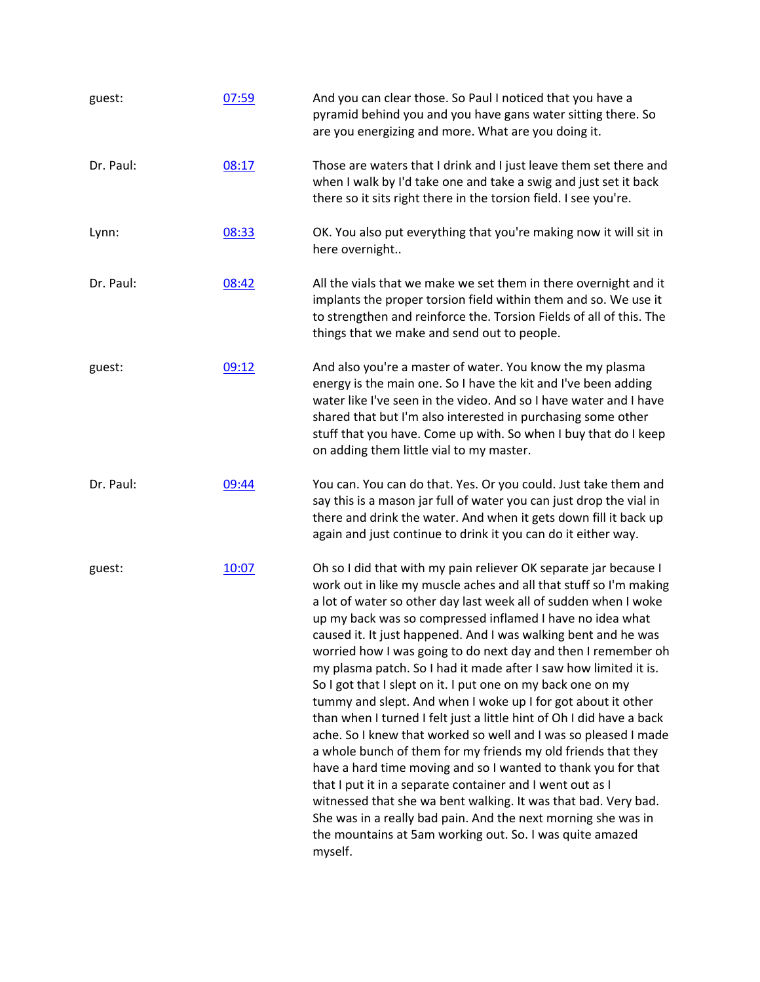| guest:    | 07:59 | And you can clear those. So Paul I noticed that you have a<br>pyramid behind you and you have gans water sitting there. So<br>are you energizing and more. What are you doing it.                                                                                                                                                                                                                                                                                                                                                                                                                                                                                                                                                                                                                                                                                                                                                                                                                                                                                                                                                                               |
|-----------|-------|-----------------------------------------------------------------------------------------------------------------------------------------------------------------------------------------------------------------------------------------------------------------------------------------------------------------------------------------------------------------------------------------------------------------------------------------------------------------------------------------------------------------------------------------------------------------------------------------------------------------------------------------------------------------------------------------------------------------------------------------------------------------------------------------------------------------------------------------------------------------------------------------------------------------------------------------------------------------------------------------------------------------------------------------------------------------------------------------------------------------------------------------------------------------|
| Dr. Paul: | 08:17 | Those are waters that I drink and I just leave them set there and<br>when I walk by I'd take one and take a swig and just set it back<br>there so it sits right there in the torsion field. I see you're.                                                                                                                                                                                                                                                                                                                                                                                                                                                                                                                                                                                                                                                                                                                                                                                                                                                                                                                                                       |
| Lynn:     | 08:33 | OK. You also put everything that you're making now it will sit in<br>here overnight                                                                                                                                                                                                                                                                                                                                                                                                                                                                                                                                                                                                                                                                                                                                                                                                                                                                                                                                                                                                                                                                             |
| Dr. Paul: | 08:42 | All the vials that we make we set them in there overnight and it<br>implants the proper torsion field within them and so. We use it<br>to strengthen and reinforce the. Torsion Fields of all of this. The<br>things that we make and send out to people.                                                                                                                                                                                                                                                                                                                                                                                                                                                                                                                                                                                                                                                                                                                                                                                                                                                                                                       |
| guest:    | 09:12 | And also you're a master of water. You know the my plasma<br>energy is the main one. So I have the kit and I've been adding<br>water like I've seen in the video. And so I have water and I have<br>shared that but I'm also interested in purchasing some other<br>stuff that you have. Come up with. So when I buy that do I keep<br>on adding them little vial to my master.                                                                                                                                                                                                                                                                                                                                                                                                                                                                                                                                                                                                                                                                                                                                                                                 |
| Dr. Paul: | 09:44 | You can. You can do that. Yes. Or you could. Just take them and<br>say this is a mason jar full of water you can just drop the vial in<br>there and drink the water. And when it gets down fill it back up<br>again and just continue to drink it you can do it either way.                                                                                                                                                                                                                                                                                                                                                                                                                                                                                                                                                                                                                                                                                                                                                                                                                                                                                     |
| guest:    | 10:07 | Oh so I did that with my pain reliever OK separate jar because I<br>work out in like my muscle aches and all that stuff so I'm making<br>a lot of water so other day last week all of sudden when I woke<br>up my back was so compressed inflamed I have no idea what<br>caused it. It just happened. And I was walking bent and he was<br>worried how I was going to do next day and then I remember oh<br>my plasma patch. So I had it made after I saw how limited it is.<br>So I got that I slept on it. I put one on my back one on my<br>tummy and slept. And when I woke up I for got about it other<br>than when I turned I felt just a little hint of Oh I did have a back<br>ache. So I knew that worked so well and I was so pleased I made<br>a whole bunch of them for my friends my old friends that they<br>have a hard time moving and so I wanted to thank you for that<br>that I put it in a separate container and I went out as I<br>witnessed that she wa bent walking. It was that bad. Very bad.<br>She was in a really bad pain. And the next morning she was in<br>the mountains at 5am working out. So. I was quite amazed<br>myself. |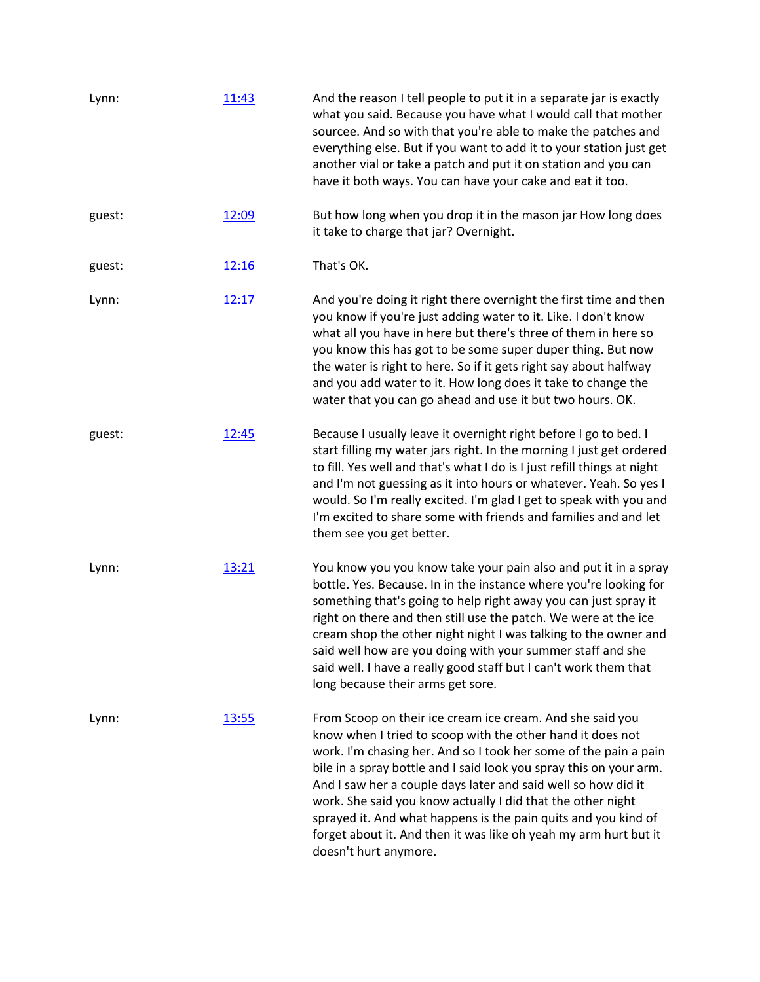| Lynn:  | 11:43 | And the reason I tell people to put it in a separate jar is exactly<br>what you said. Because you have what I would call that mother<br>sourcee. And so with that you're able to make the patches and<br>everything else. But if you want to add it to your station just get<br>another vial or take a patch and put it on station and you can<br>have it both ways. You can have your cake and eat it too.                                                                                                                                                      |
|--------|-------|------------------------------------------------------------------------------------------------------------------------------------------------------------------------------------------------------------------------------------------------------------------------------------------------------------------------------------------------------------------------------------------------------------------------------------------------------------------------------------------------------------------------------------------------------------------|
| guest: | 12:09 | But how long when you drop it in the mason jar How long does<br>it take to charge that jar? Overnight.                                                                                                                                                                                                                                                                                                                                                                                                                                                           |
| guest: | 12:16 | That's OK.                                                                                                                                                                                                                                                                                                                                                                                                                                                                                                                                                       |
| Lynn:  | 12:17 | And you're doing it right there overnight the first time and then<br>you know if you're just adding water to it. Like. I don't know<br>what all you have in here but there's three of them in here so<br>you know this has got to be some super duper thing. But now<br>the water is right to here. So if it gets right say about halfway<br>and you add water to it. How long does it take to change the<br>water that you can go ahead and use it but two hours. OK.                                                                                           |
| guest: | 12:45 | Because I usually leave it overnight right before I go to bed. I<br>start filling my water jars right. In the morning I just get ordered<br>to fill. Yes well and that's what I do is I just refill things at night<br>and I'm not guessing as it into hours or whatever. Yeah. So yes I<br>would. So I'm really excited. I'm glad I get to speak with you and<br>I'm excited to share some with friends and families and and let<br>them see you get better.                                                                                                    |
| Lynn:  | 13:21 | You know you you know take your pain also and put it in a spray<br>bottle. Yes. Because. In in the instance where you're looking for<br>something that's going to help right away you can just spray it<br>right on there and then still use the patch. We were at the ice<br>cream shop the other night night I was talking to the owner and<br>said well how are you doing with your summer staff and she<br>said well. I have a really good staff but I can't work them that<br>long because their arms get sore.                                             |
| Lynn:  | 13:55 | From Scoop on their ice cream ice cream. And she said you<br>know when I tried to scoop with the other hand it does not<br>work. I'm chasing her. And so I took her some of the pain a pain<br>bile in a spray bottle and I said look you spray this on your arm.<br>And I saw her a couple days later and said well so how did it<br>work. She said you know actually I did that the other night<br>sprayed it. And what happens is the pain quits and you kind of<br>forget about it. And then it was like oh yeah my arm hurt but it<br>doesn't hurt anymore. |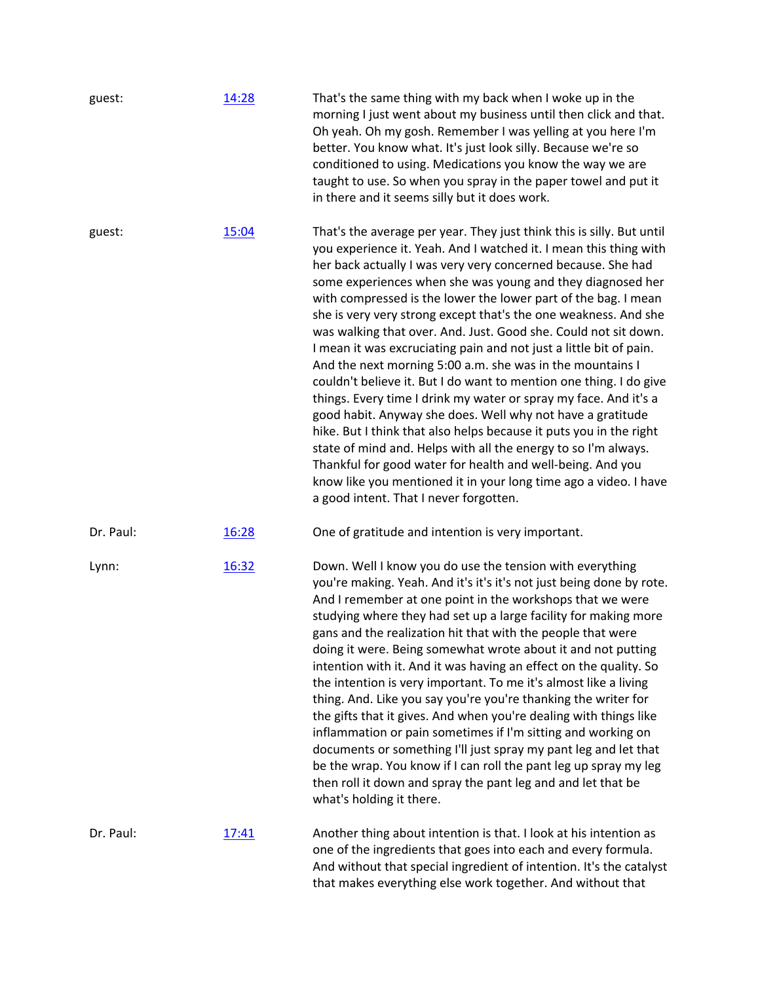| guest:    | 14:28        | That's the same thing with my back when I woke up in the<br>morning I just went about my business until then click and that.<br>Oh yeah. Oh my gosh. Remember I was yelling at you here I'm<br>better. You know what. It's just look silly. Because we're so<br>conditioned to using. Medications you know the way we are<br>taught to use. So when you spray in the paper towel and put it<br>in there and it seems silly but it does work.                                                                                                                                                                                                                                                                                                                                                                                                                                                                                                                                                                                                                                                                                                    |
|-----------|--------------|-------------------------------------------------------------------------------------------------------------------------------------------------------------------------------------------------------------------------------------------------------------------------------------------------------------------------------------------------------------------------------------------------------------------------------------------------------------------------------------------------------------------------------------------------------------------------------------------------------------------------------------------------------------------------------------------------------------------------------------------------------------------------------------------------------------------------------------------------------------------------------------------------------------------------------------------------------------------------------------------------------------------------------------------------------------------------------------------------------------------------------------------------|
| guest:    | 15:04        | That's the average per year. They just think this is silly. But until<br>you experience it. Yeah. And I watched it. I mean this thing with<br>her back actually I was very very concerned because. She had<br>some experiences when she was young and they diagnosed her<br>with compressed is the lower the lower part of the bag. I mean<br>she is very very strong except that's the one weakness. And she<br>was walking that over. And. Just. Good she. Could not sit down.<br>I mean it was excruciating pain and not just a little bit of pain.<br>And the next morning 5:00 a.m. she was in the mountains I<br>couldn't believe it. But I do want to mention one thing. I do give<br>things. Every time I drink my water or spray my face. And it's a<br>good habit. Anyway she does. Well why not have a gratitude<br>hike. But I think that also helps because it puts you in the right<br>state of mind and. Helps with all the energy to so I'm always.<br>Thankful for good water for health and well-being. And you<br>know like you mentioned it in your long time ago a video. I have<br>a good intent. That I never forgotten. |
| Dr. Paul: | 16:28        | One of gratitude and intention is very important.                                                                                                                                                                                                                                                                                                                                                                                                                                                                                                                                                                                                                                                                                                                                                                                                                                                                                                                                                                                                                                                                                               |
| Lynn:     | 16:32        | Down. Well I know you do use the tension with everything<br>you're making. Yeah. And it's it's it's not just being done by rote.<br>And I remember at one point in the workshops that we were<br>studying where they had set up a large facility for making more<br>gans and the realization hit that with the people that were<br>doing it were. Being somewhat wrote about it and not putting<br>intention with it. And it was having an effect on the quality. So<br>the intention is very important. To me it's almost like a living<br>thing. And. Like you say you're you're thanking the writer for<br>the gifts that it gives. And when you're dealing with things like<br>inflammation or pain sometimes if I'm sitting and working on<br>documents or something I'll just spray my pant leg and let that<br>be the wrap. You know if I can roll the pant leg up spray my leg<br>then roll it down and spray the pant leg and and let that be<br>what's holding it there.                                                                                                                                                              |
| Dr. Paul: | <u>17:41</u> | Another thing about intention is that. I look at his intention as<br>one of the ingredients that goes into each and every formula.<br>And without that special ingredient of intention. It's the catalyst<br>that makes everything else work together. And without that                                                                                                                                                                                                                                                                                                                                                                                                                                                                                                                                                                                                                                                                                                                                                                                                                                                                         |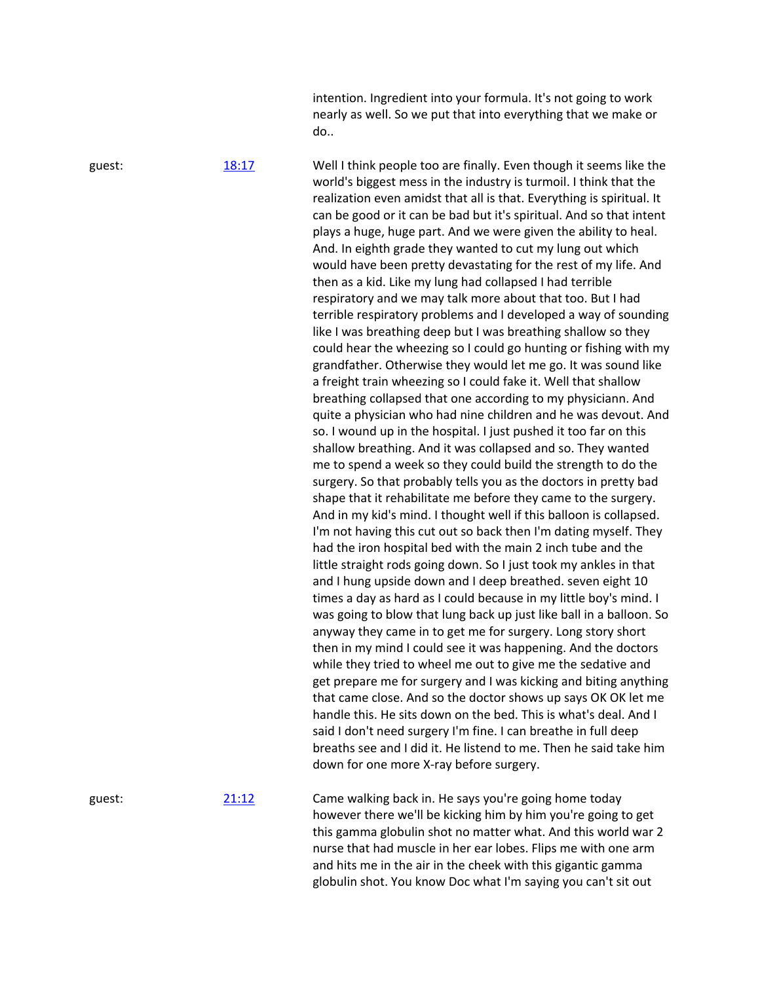intention. Ingredient into your formula. It's not going to work nearly as well. So we put that into everything that we make or do..

guest: [18:17](https://www.temi.com/editor/t/zhydC5h-fW7XpZDw-8Bz_dLm5-UKmuk0gEPnv6o59B_riiDZfMg4wQzIPQkG9b8M_ouynG3a898vwMhX5UoqvTnoHZs?loadFrom=DocumentDeeplink&ts=1097.33) Well I think people too are finally. Even though it seems like the world's biggest mess in the industry is turmoil. I think that the realization even amidst that all is that. Everything is spiritual. It can be good or it can be bad but it's spiritual. And so that intent plays a huge, huge part. And we were given the ability to heal. And. In eighth grade they wanted to cut my lung out which would have been pretty devastating for the rest of my life. And then as a kid. Like my lung had collapsed I had terrible respiratory and we may talk more about that too. But I had terrible respiratory problems and I developed a way of sounding like I was breathing deep but I was breathing shallow so they could hear the wheezing so I could go hunting or fishing with my grandfather. Otherwise they would let me go. It was sound like a freight train wheezing so I could fake it. Well that shallow breathing collapsed that one according to my physiciann. And quite a physician who had nine children and he was devout. And so. I wound up in the hospital. I just pushed it too far on this shallow breathing. And it was collapsed and so. They wanted me to spend a week so they could build the strength to do the surgery. So that probably tells you as the doctors in pretty bad shape that it rehabilitate me before they came to the surgery. And in my kid's mind. I thought well if this balloon is collapsed. I'm not having this cut out so back then I'm dating myself. They had the iron hospital bed with the main 2 inch tube and the little straight rods going down. So I just took my ankles in that and I hung upside down and I deep breathed. seven eight 10 times a day as hard as I could because in my little boy's mind. I was going to blow that lung back up just like ball in a balloon. So anyway they came in to get me for surgery. Long story short then in my mind I could see it was happening. And the doctors while they tried to wheel me out to give me the sedative and get prepare me for surgery and I was kicking and biting anything that came close. And so the doctor shows up says OK OK let me handle this. He sits down on the bed. This is what's deal. And I said I don't need surgery I'm fine. I can breathe in full deep breaths see and I did it. He listend to me. Then he said take him down for one more X-ray before surgery.

guest: [21:12](https://www.temi.com/editor/t/zhydC5h-fW7XpZDw-8Bz_dLm5-UKmuk0gEPnv6o59B_riiDZfMg4wQzIPQkG9b8M_ouynG3a898vwMhX5UoqvTnoHZs?loadFrom=DocumentDeeplink&ts=1272.91) Came walking back in. He says you're going home today however there we'll be kicking him by him you're going to get this gamma globulin shot no matter what. And this world war 2 nurse that had muscle in her ear lobes. Flips me with one arm and hits me in the air in the cheek with this gigantic gamma globulin shot. You know Doc what I'm saying you can't sit out